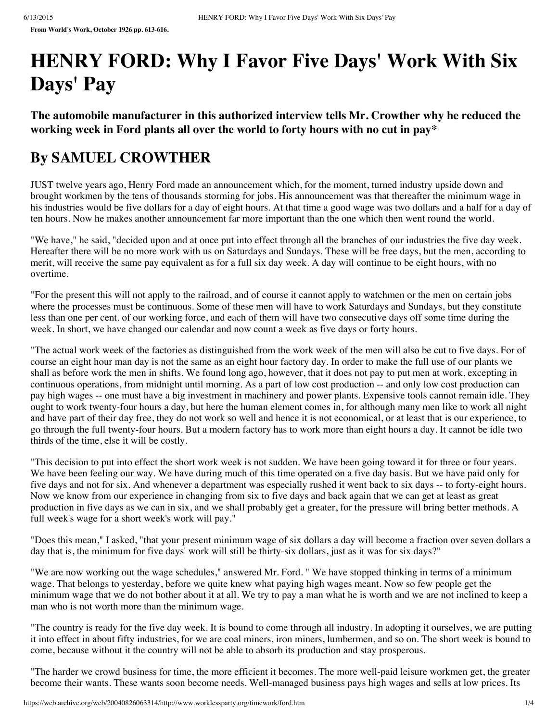# **HENRY FORD: Why I Favor Five Days' Work With Six Days' Pay**

**The automobile manufacturer in this authorized interview tells Mr. Crowther why he reduced the working week in Ford plants all over the world to forty hours with no cut in pay\***

## **By SAMUEL CROWTHER**

JUST twelve years ago, Henry Ford made an announcement which, for the moment, turned industry upside down and brought workmen by the tens of thousands storming for jobs. His announcement was that thereafter the minimum wage in his industries would be five dollars for a day of eight hours. At that time a good wage was two dollars and a half for a day of ten hours. Now he makes another announcement far more important than the one which then went round the world.

"We have," he said, "decided upon and at once put into effect through all the branches of our industries the five day week. Hereafter there will be no more work with us on Saturdays and Sundays. These will be free days, but the men, according to merit, will receive the same pay equivalent as for a full six day week. A day will continue to be eight hours, with no overtime.

"For the present this will not apply to the railroad, and of course it cannot apply to watchmen or the men on certain jobs where the processes must be continuous. Some of these men will have to work Saturdays and Sundays, but they constitute less than one per cent. of our working force, and each of them will have two consecutive days off some time during the week. In short, we have changed our calendar and now count a week as five days or forty hours.

"The actual work week of the factories as distinguished from the work week of the men will also be cut to five days. For of course an eight hour man day is not the same as an eight hour factory day. In order to make the full use of our plants we shall as before work the men in shifts. We found long ago, however, that it does not pay to put men at work, excepting in continuous operations, from midnight until morning. As a part of low cost production -- and only low cost production can pay high wages -- one must have a big investment in machinery and power plants. Expensive tools cannot remain idle. They ought to work twenty-four hours a day, but here the human element comes in, for although many men like to work all night and have part of their day free, they do not work so well and hence it is not economical, or at least that is our experience, to go through the full twenty-four hours. But a modern factory has to work more than eight hours a day. It cannot be idle two thirds of the time, else it will be costly.

"This decision to put into effect the short work week is not sudden. We have been going toward it for three or four years. We have been feeling our way. We have during much of this time operated on a five day basis. But we have paid only for five days and not for six. And whenever a department was especially rushed it went back to six days -- to forty-eight hours. Now we know from our experience in changing from six to five days and back again that we can get at least as great production in five days as we can in six, and we shall probably get a greater, for the pressure will bring better methods. A full week's wage for a short week's work will pay."

"Does this mean," I asked, "that your present minimum wage of six dollars a day will become a fraction over seven dollars a day that is, the minimum for five days' work will still be thirty-six dollars, just as it was for six days?"

"We are now working out the wage schedules," answered Mr. Ford. " We have stopped thinking in terms of a minimum wage. That belongs to yesterday, before we quite knew what paying high wages meant. Now so few people get the minimum wage that we do not bother about it at all. We try to pay a man what he is worth and we are not inclined to keep a man who is not worth more than the minimum wage.

"The country is ready for the five day week. It is bound to come through all industry. In adopting it ourselves, we are putting it into effect in about fifty industries, for we are coal miners, iron miners, lumbermen, and so on. The short week is bound to come, because without it the country will not be able to absorb its production and stay prosperous.

"The harder we crowd business for time, the more efficient it becomes. The more well-paid leisure workmen get, the greater become their wants. These wants soon become needs. Well-managed business pays high wages and sells at low prices. Its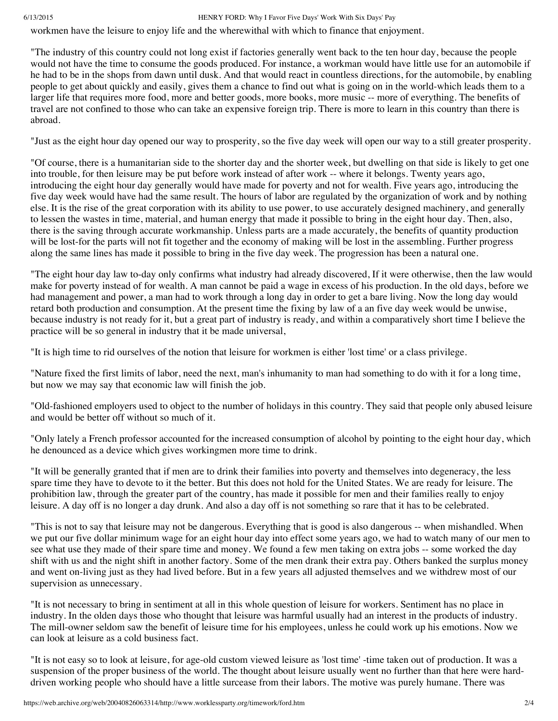### 6/13/2015 HENRY FORD: Why I Favor Five Days' Work With Six Days' Pay

workmen have the leisure to enjoy life and the wherewithal with which to finance that enjoyment.

"The industry of this country could not long exist if factories generally went back to the ten hour day, because the people would not have the time to consume the goods produced. For instance, a workman would have little use for an automobile if he had to be in the shops from dawn until dusk. And that would react in countless directions, for the automobile, by enabling people to get about quickly and easily, gives them a chance to find out what is going on in the world-which leads them to a larger life that requires more food, more and better goods, more books, more music -- more of everything. The benefits of travel are not confined to those who can take an expensive foreign trip. There is more to learn in this country than there is abroad.

"Just as the eight hour day opened our way to prosperity, so the five day week will open our way to a still greater prosperity.

"Of course, there is a humanitarian side to the shorter day and the shorter week, but dwelling on that side is likely to get one into trouble, for then leisure may be put before work instead of after work -- where it belongs. Twenty years ago, introducing the eight hour day generally would have made for poverty and not for wealth. Five years ago, introducing the five day week would have had the same result. The hours of labor are regulated by the organization of work and by nothing else. It is the rise of the great corporation with its ability to use power, to use accurately designed machinery, and generally to lessen the wastes in time, material, and human energy that made it possible to bring in the eight hour day. Then, also, there is the saving through accurate workmanship. Unless parts are a made accurately, the benefits of quantity production will be lost-for the parts will not fit together and the economy of making will be lost in the assembling. Further progress along the same lines has made it possible to bring in the five day week. The progression has been a natural one.

"The eight hour day law to-day only confirms what industry had already discovered, If it were otherwise, then the law would make for poverty instead of for wealth. A man cannot be paid a wage in excess of his production. In the old days, before we had management and power, a man had to work through a long day in order to get a bare living. Now the long day would retard both production and consumption. At the present time the fixing by law of a an five day week would be unwise, because industry is not ready for it, but a great part of industry is ready, and within a comparatively short time I believe the practice will be so general in industry that it be made universal,

"It is high time to rid ourselves of the notion that leisure for workmen is either 'lost time' or a class privilege.

"Nature fixed the first limits of labor, need the next, man's inhumanity to man had something to do with it for a long time, but now we may say that economic law will finish the job.

"Old-fashioned employers used to object to the number of holidays in this country. They said that people only abused leisure and would be better off without so much of it.

"Only lately a French professor accounted for the increased consumption of alcohol by pointing to the eight hour day, which he denounced as a device which gives workingmen more time to drink.

"It will be generally granted that if men are to drink their families into poverty and themselves into degeneracy, the less spare time they have to devote to it the better. But this does not hold for the United States. We are ready for leisure. The prohibition law, through the greater part of the country, has made it possible for men and their families really to enjoy leisure. A day off is no longer a day drunk. And also a day off is not something so rare that it has to be celebrated.

"This is not to say that leisure may not be dangerous. Everything that is good is also dangerous -- when mishandled. When we put our five dollar minimum wage for an eight hour day into effect some years ago, we had to watch many of our men to see what use they made of their spare time and money. We found a few men taking on extra jobs -- some worked the day shift with us and the night shift in another factory. Some of the men drank their extra pay. Others banked the surplus money and went on-living just as they had lived before. But in a few years all adjusted themselves and we withdrew most of our supervision as unnecessary.

"It is not necessary to bring in sentiment at all in this whole question of leisure for workers. Sentiment has no place in industry. In the olden days those who thought that leisure was harmful usually had an interest in the products of industry. The mill-owner seldom saw the benefit of leisure time for his employees, unless he could work up his emotions. Now we can look at leisure as a cold business fact.

"It is not easy so to look at leisure, for age-old custom viewed leisure as 'lost time' -time taken out of production. It was a suspension of the proper business of the world. The thought about leisure usually went no further than that here were harddriven working people who should have a little surcease from their labors. The motive was purely humane. There was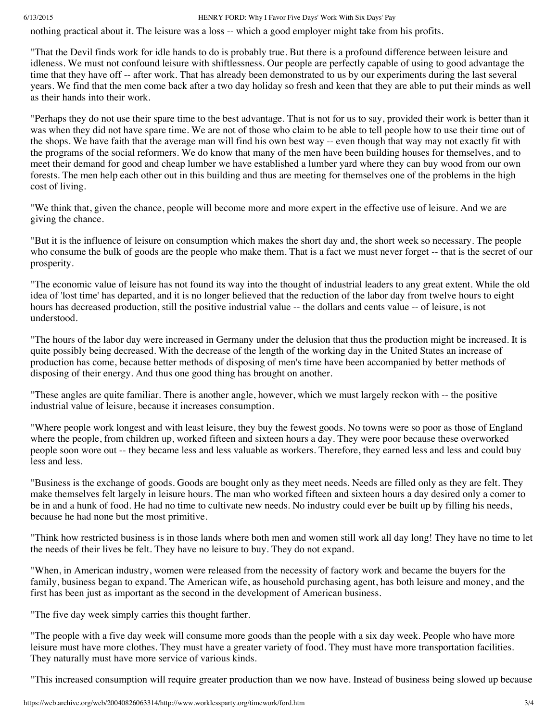#### 6/13/2015 HENRY FORD: Why I Favor Five Days' Work With Six Days' Pay

nothing practical about it. The leisure was a loss -- which a good employer might take from his profits.

"That the Devil finds work for idle hands to do is probably true. But there is a profound difference between leisure and idleness. We must not confound leisure with shiftlessness. Our people are perfectly capable of using to good advantage the time that they have off -- after work. That has already been demonstrated to us by our experiments during the last several years. We find that the men come back after a two day holiday so fresh and keen that they are able to put their minds as well as their hands into their work.

"Perhaps they do not use their spare time to the best advantage. That is not for us to say, provided their work is better than it was when they did not have spare time. We are not of those who claim to be able to tell people how to use their time out of the shops. We have faith that the average man will find his own best way -- even though that way may not exactly fit with the programs of the social reformers. We do know that many of the men have been building houses for themselves, and to meet their demand for good and cheap lumber we have established a lumber yard where they can buy wood from our own forests. The men help each other out in this building and thus are meeting for themselves one of the problems in the high cost of living.

"We think that, given the chance, people will become more and more expert in the effective use of leisure. And we are giving the chance.

"But it is the influence of leisure on consumption which makes the short day and, the short week so necessary. The people who consume the bulk of goods are the people who make them. That is a fact we must never forget -- that is the secret of our prosperity.

"The economic value of leisure has not found its way into the thought of industrial leaders to any great extent. While the old idea of 'lost time' has departed, and it is no longer believed that the reduction of the labor day from twelve hours to eight hours has decreased production, still the positive industrial value -- the dollars and cents value -- of leisure, is not understood.

"The hours of the labor day were increased in Germany under the delusion that thus the production might be increased. It is quite possibly being decreased. With the decrease of the length of the working day in the United States an increase of production has come, because better methods of disposing of men's time have been accompanied by better methods of disposing of their energy. And thus one good thing has brought on another.

"These angles are quite familiar. There is another angle, however, which we must largely reckon with -- the positive industrial value of leisure, because it increases consumption.

"Where people work longest and with least leisure, they buy the fewest goods. No towns were so poor as those of England where the people, from children up, worked fifteen and sixteen hours a day. They were poor because these overworked people soon wore out -- they became less and less valuable as workers. Therefore, they earned less and less and could buy less and less.

"Business is the exchange of goods. Goods are bought only as they meet needs. Needs are filled only as they are felt. They make themselves felt largely in leisure hours. The man who worked fifteen and sixteen hours a day desired only a comer to be in and a hunk of food. He had no time to cultivate new needs. No industry could ever be built up by filling his needs, because he had none but the most primitive.

"Think how restricted business is in those lands where both men and women still work all day long! They have no time to let the needs of their lives be felt. They have no leisure to buy. They do not expand.

"When, in American industry, women were released from the necessity of factory work and became the buyers for the family, business began to expand. The American wife, as household purchasing agent, has both leisure and money, and the first has been just as important as the second in the development of American business.

"The five day week simply carries this thought farther.

"The people with a five day week will consume more goods than the people with a six day week. People who have more leisure must have more clothes. They must have a greater variety of food. They must have more transportation facilities. They naturally must have more service of various kinds.

"This increased consumption will require greater production than we now have. Instead of business being slowed up because